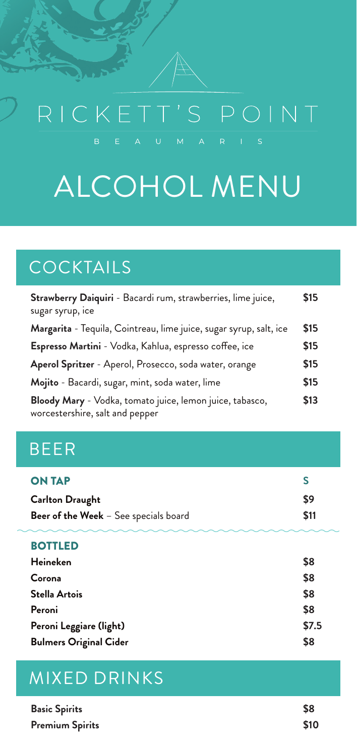# RICKETT'S POINT

# ALCOHOL MENU

## COCKTAILS

| Strawberry Daiquiri - Bacardi rum, strawberries, lime juice,<br>sugar syrup, ice            | \$15 |
|---------------------------------------------------------------------------------------------|------|
| Margarita - Tequila, Cointreau, lime juice, sugar syrup, salt, ice                          | \$15 |
| Espresso Martini - Vodka, Kahlua, espresso coffee, ice                                      | \$15 |
| Aperol Spritzer - Aperol, Prosecco, soda water, orange                                      | \$15 |
| Mojito - Bacardi, sugar, mint, soda water, lime                                             | \$15 |
| Bloody Mary - Vodka, tomato juice, lemon juice, tabasco,<br>worcestershire, salt and pepper | \$13 |

#### BEER

| <b>ON TAP</b>                                |            |
|----------------------------------------------|------------|
| <b>Carlton Draught</b>                       | S9         |
| <b>Beer of the Week</b> - See specials board | <b>S11</b> |

#### **BOTTLED**

| <b>Heineken</b>               | \$8   |
|-------------------------------|-------|
| Corona                        | \$8   |
| <b>Stella Artois</b>          | \$8   |
| Peroni                        | \$8   |
| Peroni Leggiare (light)       | \$7.5 |
| <b>Bulmers Original Cider</b> | \$8   |

#### MIXED DRINKS

| <b>Basic Spirits</b>   | \$8  |
|------------------------|------|
| <b>Premium Spirits</b> | \$10 |